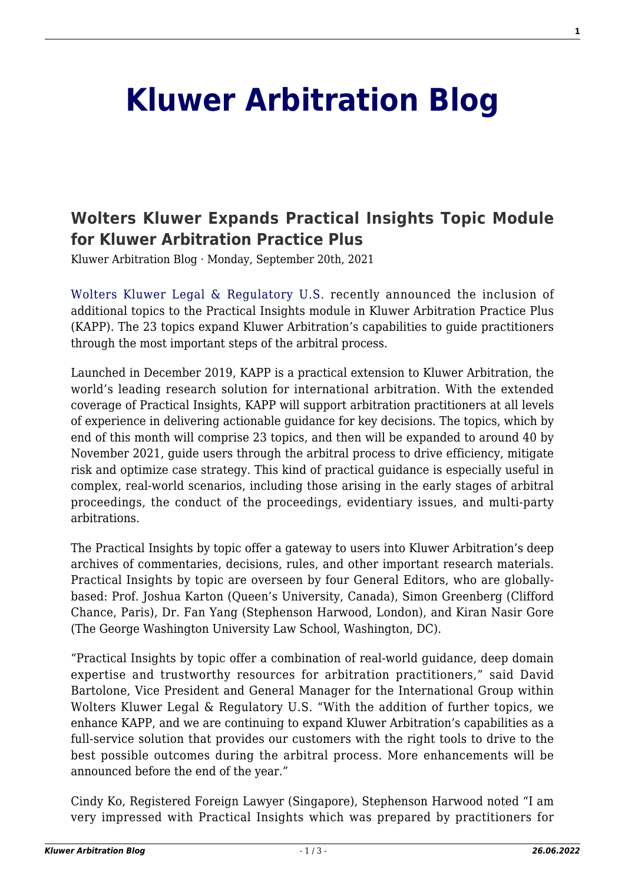## **[Kluwer Arbitration Blog](http://arbitrationblog.kluwerarbitration.com/)**

## **[Wolters Kluwer Expands Practical Insights Topic Module](http://arbitrationblog.kluwerarbitration.com/2021/09/20/wolters-kluwer-expands-practical-insights-topic-module-for-kluwer-arbitration-practice-plus/) [for Kluwer Arbitration Practice Plus](http://arbitrationblog.kluwerarbitration.com/2021/09/20/wolters-kluwer-expands-practical-insights-topic-module-for-kluwer-arbitration-practice-plus/)**

Kluwer Arbitration Blog · Monday, September 20th, 2021

[Wolters Kluwer Legal & Regulatory U.S.](https://www.wolterskluwer.com/en) recently announced the inclusion of additional topics to the Practical Insights module in Kluwer Arbitration Practice Plus (KAPP). The 23 topics expand Kluwer Arbitration's capabilities to guide practitioners through the most important steps of the arbitral process.

Launched in December 2019, KAPP is a practical extension to Kluwer Arbitration, the world's leading research solution for international arbitration. With the extended coverage of Practical Insights, KAPP will support arbitration practitioners at all levels of experience in delivering actionable guidance for key decisions. The topics, which by end of this month will comprise 23 topics, and then will be expanded to around 40 by November 2021, guide users through the arbitral process to drive efficiency, mitigate risk and optimize case strategy. This kind of practical guidance is especially useful in complex, real-world scenarios, including those arising in the early stages of arbitral proceedings, the conduct of the proceedings, evidentiary issues, and multi-party arbitrations.

The Practical Insights by topic offer a gateway to users into Kluwer Arbitration's deep archives of commentaries, decisions, rules, and other important research materials. Practical Insights by topic are overseen by four General Editors, who are globallybased: Prof. Joshua Karton (Queen's University, Canada), Simon Greenberg (Clifford Chance, Paris), Dr. Fan Yang (Stephenson Harwood, London), and Kiran Nasir Gore (The George Washington University Law School, Washington, DC).

"Practical Insights by topic offer a combination of real-world guidance, deep domain expertise and trustworthy resources for arbitration practitioners," said David Bartolone, Vice President and General Manager for the International Group within Wolters Kluwer Legal & Regulatory U.S. "With the addition of further topics, we enhance KAPP, and we are continuing to expand Kluwer Arbitration's capabilities as a full-service solution that provides our customers with the right tools to drive to the best possible outcomes during the arbitral process. More enhancements will be announced before the end of the year."

Cindy Ko, Registered Foreign Lawyer (Singapore), Stephenson Harwood noted "I am very impressed with Practical Insights which was prepared by practitioners for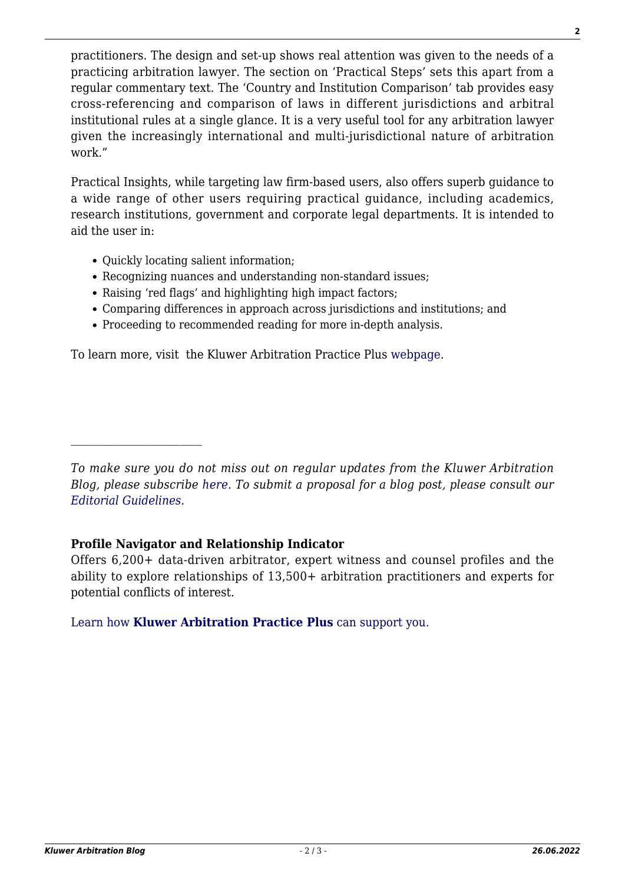practitioners. The design and set-up shows real attention was given to the needs of a practicing arbitration lawyer. The section on 'Practical Steps' sets this apart from a regular commentary text. The 'Country and Institution Comparison' tab provides easy cross-referencing and comparison of laws in different jurisdictions and arbitral institutional rules at a single glance. It is a very useful tool for any arbitration lawyer given the increasingly international and multi-jurisdictional nature of arbitration work."

Practical Insights, while targeting law firm-based users, also offers superb guidance to a wide range of other users requiring practical guidance, including academics, research institutions, government and corporate legal departments. It is intended to aid the user in:

• Ouickly locating salient information;

 $\mathcal{L}_\text{max}$ 

- Recognizing nuances and understanding non-standard issues;
- Raising 'red flags' and highlighting high impact factors;
- Comparing differences in approach across jurisdictions and institutions; and
- Proceeding to recommended reading for more in-depth analysis.

To learn more, visit the Kluwer Arbitration Practice Plus [webpage.](https://www.wolterskluwer.com/en/solutions/kluwerarbitration/practiceplus)

*To make sure you do not miss out on regular updates from the Kluwer Arbitration Blog, please subscribe [here](http://arbitrationblog.kluwerarbitration.com/newsletter/). To submit a proposal for a blog post, please consult our [Editorial Guidelines.](http://arbitrationblog.kluwerarbitration.com/editorial-guidelines/)*

## **Profile Navigator and Relationship Indicator**

Offers 6,200+ data-driven arbitrator, expert witness and counsel profiles and the ability to explore relationships of 13,500+ arbitration practitioners and experts for potential conflicts of interest.

[Learn how](https://www.wolterskluwer.com/en/solutions/kluwerarbitration/practiceplus?utm_source=arbitrationblog&utm_medium=articleCTA&utm_campaign=article-banner) **[Kluwer Arbitration Practice Plus](https://www.wolterskluwer.com/en/solutions/kluwerarbitration/practiceplus?utm_source=arbitrationblog&utm_medium=articleCTA&utm_campaign=article-banner)** [can support you.](https://www.wolterskluwer.com/en/solutions/kluwerarbitration/practiceplus?utm_source=arbitrationblog&utm_medium=articleCTA&utm_campaign=article-banner)